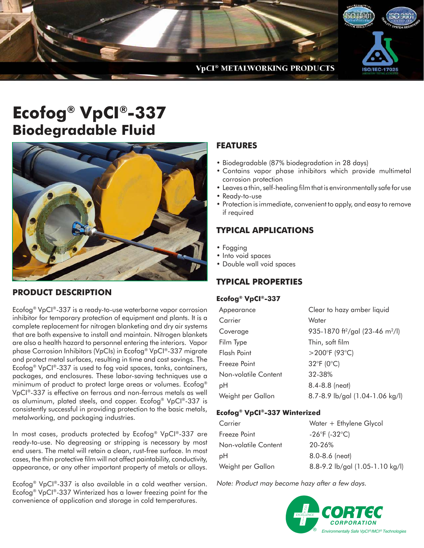

# **Ecofog® VpCI®-337 Biodegradable Fluid**



### **PRODUCT DESCRIPTION**

Ecofog® VpCI®-337 is a ready-to-use waterborne vapor corrosion inhibitor for temporary protection of equipment and plants. It is a complete replacement for nitrogen blanketing and dry air systems that are both expensive to install and maintain. Nitrogen blankets are also a health hazard to personnel entering the interiors. Vapor phase Corrosion Inhibitors (VpCIs) in Ecofog® VpCI®-337 migrate and protect metal surfaces, resulting in time and cost savings. The Ecofog® VpCI®-337 is used to fog void spaces, tanks, containers, packages, and enclosures. These labor-saving techniques use a minimum of product to protect large areas or volumes. Ecofog® VpCI®-337 is effective on ferrous and non-ferrous metals as well as aluminum, plated steels, and copper. Ecofog® VpCI®-337 is consistently successful in providing protection to the basic metals, metalworking, and packaging industries.

In most cases, products protected by Ecofog® VpCI®-337 are ready-to-use. No degreasing or stripping is necessary by most end users. The metal will retain a clean, rust-free surface. In most cases, the thin protective film will not affect paintability, conductivity, appearance, or any other important property of metals or alloys.

Ecofog® VpCI®-337 is also available in a cold weather version. Ecofog® VpCI®-337 Winterized has a lower freezing point for the convenience of application and storage in cold temperatures.

### **FEATURES**

- Biodegradable (87% biodegradation in 28 days)
- Contains vapor phase inhibitors which provide multimetal corrosion protection
- Leaves a thin, self-healing film that is environmentally safe for use
- Ready-to-use
- Protection is immediate, convenient to apply, and easy to remove if required

### **TYPICAL APPLICATIONS**

- Fogging
- Into void spaces
- Double wall void spaces

### **TYPICAL PROPERTIES**

#### **Ecofog® VpCI®-337**

| Appearance           | Clear to hazy amber liquid                              |
|----------------------|---------------------------------------------------------|
| Carrier              | Water                                                   |
| Coverage             | 935-1870 ft <sup>2</sup> /gal (23-46 m <sup>2</sup> /l) |
| Film Type            | Thin, soft film                                         |
| Flash Point          | $>$ 200°F (93°C)                                        |
| Freeze Point         | $32^{\circ}F(0^{\circ}C)$                               |
| Non-volatile Content | 32-38%                                                  |
| рH                   | 8.4-8.8 (neat)                                          |
| Weight per Gallon    | 8.7-8.9 lb/gal (1.04-1.06 kg/l)                         |
|                      |                                                         |

#### **Ecofog® VpCI®-337 Winterized**

| Carrier              | Water + Ethylene Glycol           |
|----------------------|-----------------------------------|
| Freeze Point         | $-26^{\circ}F$ (-32 $^{\circ}C$ ) |
| Non-volatile Content | 20-26%                            |
| рH                   | $8.0 - 8.6$ (neat)                |
| Weight per Gallon    | 8.8-9.2 lb/gal (1.05-1.10 kg/l)   |

Note: Product may become hazy after a few days.